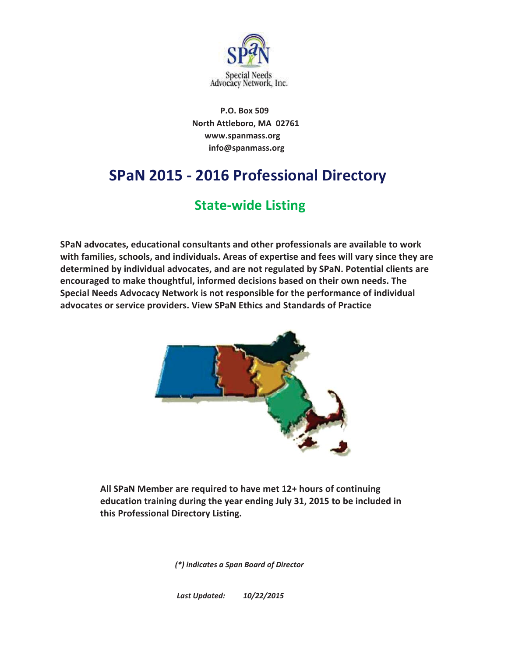

 **North Attleboro, MA 02761 info@spanmass.org www.spanmass.org P.O. Box 509** 

# **SPaN 2015 - 2016 Professional Directory**

# **State-wide Listing**

**SPaN advocates, educational consultants and other professionals are available to work with families, schools, and individuals. Areas of expertise and fees will vary since they are determined by individual advocates, and are not regulated by SPaN. Potential clients are encouraged to make thoughtful, informed decisions based on their own needs. The Special Needs Advocacy Network is not responsible for the performance of individual advocates or service providers. View SPaN Ethics and Standards of Practice**



**All SPaN Member are required to have met 12+ hours of continuing education training during the year ending July 31, 2015 to be included in this Professional Directory Listing.**

*(\*) indicates a Span Board of Director*

*Last Updated: 10/22/2015*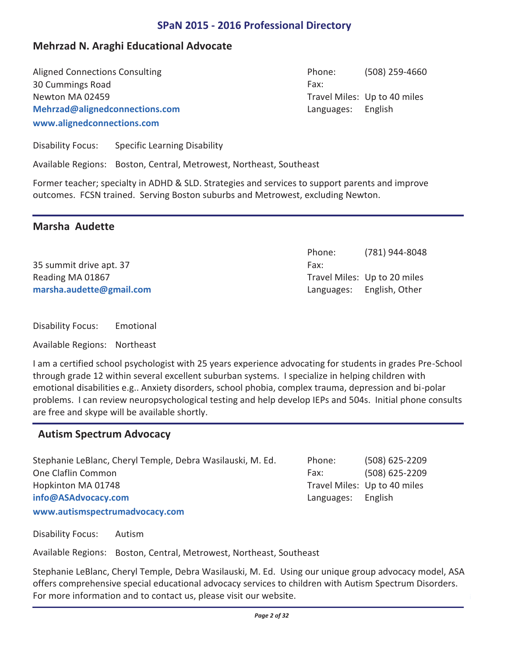## **Mehrzad N. Araghi Educational Advocate**

Aligned Connections Consulting The Consulting Connections Consulting The Connection of the Connection of the Connection of the Connection of the Connection of the Connection of the Connection of the Connection of the Conne 30 Cummings Road **www.alignedconnections.com Mehrzad@alignedconnections.com** Newton MA 02459

Phone: Fax: Travel Miles: Up to 40 miles Languages: English

(781) 944-8048

Travel Miles: Up to 20 miles

Languages: English, Other

Phone: Fax:

Disability Focus: Specific Learning Disability

Available Regions: Boston, Central, Metrowest, Northeast, Southeast

Former teacher; specialty in ADHD & SLD. Strategies and services to support parents and improve outcomes. FCSN trained. Serving Boston suburbs and Metrowest, excluding Newton.

## **Marsha Audette**

35 summit drive apt. 37 **marsha.audette@gmail.com** Reading MA 01867

Disability Focus: Emotional

Available Regions: Northeast

I am a certified school psychologist with 25 years experience advocating for students in grades Pre-School through grade 12 within several excellent suburban systems. I specialize in helping children with emotional disabilities e.g.. Anxiety disorders, school phobia, complex trauma, depression and bi-polar problems. I can review neuropsychological testing and help develop IEPs and 504s. Initial phone consults are free and skype will be available shortly.

## **Autism Spectrum Advocacy**

Stephanie LeBlanc, Cheryl Temple, Debra Wasilauski, M. Ed. Phone: (508) 625-2209 One Claflin Common (508) 625-2209 **www.autismspectrumadvocacy.com info@ASAdvocacy.com** Hopkinton MA 01748

Phone: Fax: Travel Miles: Up to 40 miles Languages: English

Disability Focus: Autism

Available Regions: Boston, Central, Metrowest, Northeast, Southeast

Stephanie LeBlanc, Cheryl Temple, Debra Wasilauski, M. Ed. Using our unique group advocacy model, ASA offers comprehensive special educational advocacy services to children with Autism Spectrum Disorders. For more information and to contact us, please visit our website.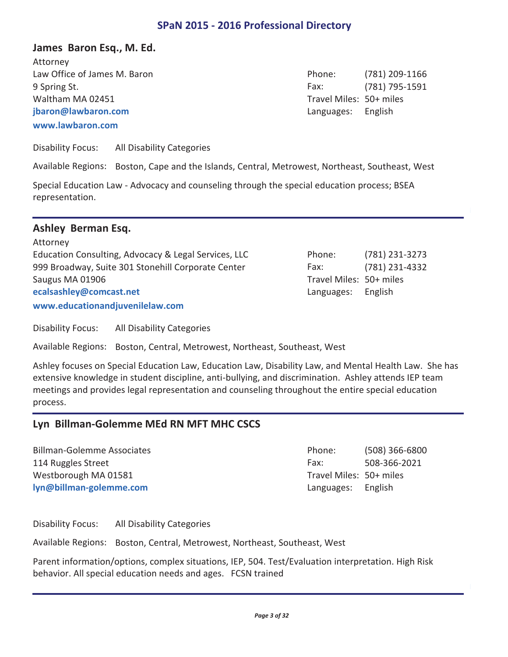## **James Baron Esq., M. Ed.**

Law Office of James M. Baron (781) 209-1166 9 Spring St. (781) 795-1591 **www.lawbaron.com jbaron@lawbaron.com** Attorney Waltham MA 02451

Phone: Fax: Travel Miles: 50+ miles Languages: English

Disability Focus: All Disability Categories

Available Regions: Boston, Cape and the Islands, Central, Metrowest, Northeast, Southeast, West

Special Education Law - Advocacy and counseling through the special education process; BSEA representation.

#### **Ashley Berman Esq.**

| Attorney                                             |                         |                |
|------------------------------------------------------|-------------------------|----------------|
| Education Consulting, Advocacy & Legal Services, LLC | Phone:                  | (781) 231-3273 |
| 999 Broadway, Suite 301 Stonehill Corporate Center   | Fax:                    | (781) 231-4332 |
| Saugus MA 01906                                      | Travel Miles: 50+ miles |                |
| ecalsashley@comcast.net                              | Languages:              | English        |
| www.educationandjuvenilelaw.com                      |                         |                |

Disability Focus: All Disability Categories

Available Regions: Boston, Central, Metrowest, Northeast, Southeast, West

Ashley focuses on Special Education Law, Education Law, Disability Law, and Mental Health Law. She has extensive knowledge in student discipline, anti-bullying, and discrimination. Ashley attends IEP team meetings and provides legal representation and counseling throughout the entire special education process.

#### **Lyn Billman-Golemme MEd RN MFT MHC CSCS**

Billman-Golemme Associates (508) 366-6800 114 Ruggles Street **114 Ruggles Street** 608-366-2021 **lyn@billman-golemme.com** Westborough MA 01581

Phone: Fax: Travel Miles: 50+ miles Languages: English

Disability Focus: All Disability Categories

Available Regions: Boston, Central, Metrowest, Northeast, Southeast, West

Parent information/options, complex situations, IEP, 504. Test/Evaluation interpretation. High Risk behavior. All special education needs and ages. FCSN trained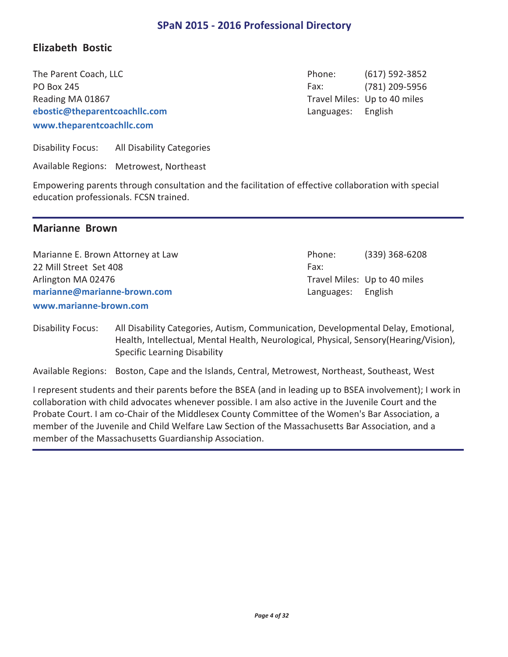## **Elizabeth Bostic**

The Parent Coach, LLC **The Parent Coach, LLC COACH COACH COACH COACH COACH COACH COACH COACH COACH COACH COACH COACH COACH COACH COACH COACH COACH COACH COACH COACH COACH COACH COACH COACH COACH COACH COACH COACH COACH C** PO Box 245 (781) 209-5956 **www.theparentcoachllc.com ebostic@theparentcoachllc.com** Reading MA 01867

Phone: Fax: Travel Miles: Up to 40 miles Languages: English

Disability Focus: All Disability Categories

Available Regions: Metrowest, Northeast

Empowering parents through consultation and the facilitation of effective collaboration with special education professionals. FCSN trained.

#### **Marianne Brown**

Marianne E. Brown Attorney at Law **Example 2008** 2008 2008 2009 2014 2014 2020 2039) 368-6208 22 Mill Street Set 408 **www.marianne-brown.com marianne@marianne-brown.com** Arlington MA 02476

Phone: Fax: Travel Miles: Up to 40 miles Languages: English

Disability Focus: All Disability Categories, Autism, Communication, Developmental Delay, Emotional, Health, Intellectual, Mental Health, Neurological, Physical, Sensory(Hearing/Vision), Specific Learning Disability

Available Regions: Boston, Cape and the Islands, Central, Metrowest, Northeast, Southeast, West

I represent students and their parents before the BSEA (and in leading up to BSEA involvement); I work in collaboration with child advocates whenever possible. I am also active in the Juvenile Court and the Probate Court. I am co-Chair of the Middlesex County Committee of the Women's Bar Association, a member of the Juvenile and Child Welfare Law Section of the Massachusetts Bar Association, and a member of the Massachusetts Guardianship Association.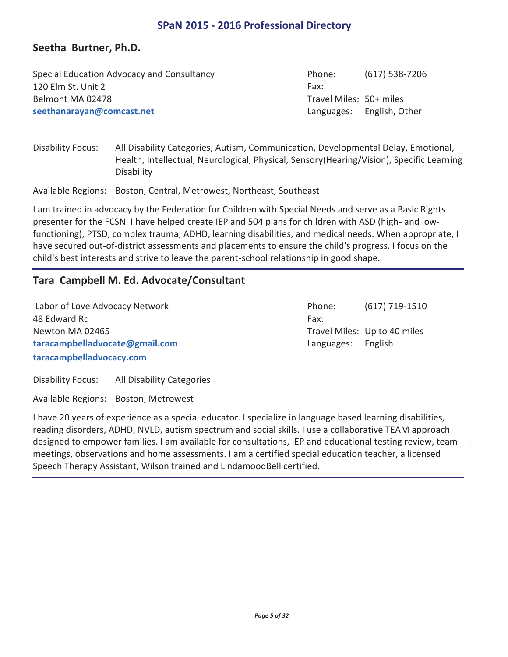## **Seetha Burtner, Ph.D.**

| Special Education Advocacy and Consultancy | Phone:                  | $(617)$ 538-7206          |
|--------------------------------------------|-------------------------|---------------------------|
| 120 Elm St. Unit 2                         | Fax:                    |                           |
| Belmont MA 02478                           | Travel Miles: 50+ miles |                           |
| seethanarayan@comcast.net                  |                         | Languages: English, Other |

Disability Focus: All Disability Categories, Autism, Communication, Developmental Delay, Emotional, Health, Intellectual, Neurological, Physical, Sensory(Hearing/Vision), Specific Learning Disability

Available Regions: Boston, Central, Metrowest, Northeast, Southeast

I am trained in advocacy by the Federation for Children with Special Needs and serve as a Basic Rights presenter for the FCSN. I have helped create IEP and 504 plans for children with ASD (high- and lowfunctioning), PTSD, complex trauma, ADHD, learning disabilities, and medical needs. When appropriate, I have secured out-of-district assessments and placements to ensure the child's progress. I focus on the child's best interests and strive to leave the parent-school relationship in good shape.

## **Tara Campbell M. Ed. Advocate/Consultant**

Labor of Love Advocacy Network (617) 719-1510 48 Edward Rd **taracampbelladvocacy.com taracampbelladvocate@gmail.com** Newton MA 02465

Phone: Fax: Travel Miles: Up to 40 miles Languages: English

Disability Focus: All Disability Categories

Available Regions: Boston, Metrowest

I have 20 years of experience as a special educator. I specialize in language based learning disabilities, reading disorders, ADHD, NVLD, autism spectrum and social skills. I use a collaborative TEAM approach designed to empower families. I am available for consultations, IEP and educational testing review, team meetings, observations and home assessments. I am a certified special education teacher, a licensed Speech Therapy Assistant, Wilson trained and LindamoodBell certified.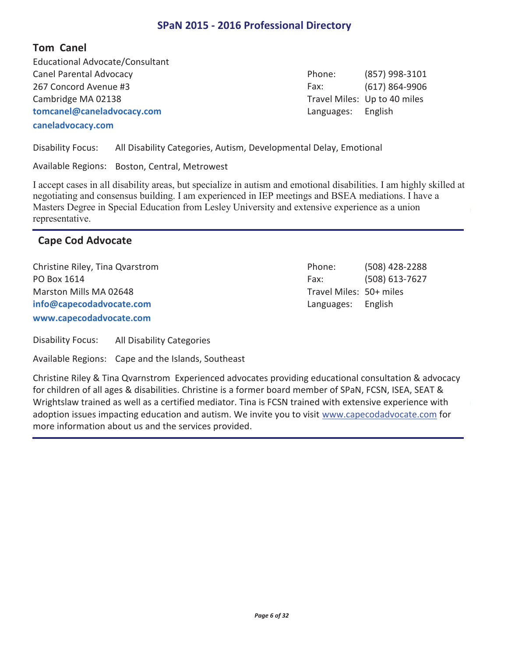## **Tom Canel**

Canel Parental Advocacy (857) 998-3101 267 Concord Avenue #3 (617) 864-9906 **caneladvocacy.com tomcanel@caneladvocacy.com** Educational Advocate/Consultant Cambridge MA 02138

Phone: Fax: Travel Miles: Up to 40 miles Languages: English

Disability Focus: All Disability Categories, Autism, Developmental Delay, Emotional

Available Regions: Boston, Central, Metrowest

I accept cases in all disability areas, but specialize in autism and emotional disabilities. I am highly skilled at negotiating and consensus building. I am experienced in IEP meetings and BSEA mediations. I have a Masters Degree in Special Education from Lesley University and extensive experience as a union representative.

## **Cape Cod Advocate**

Christine Riley, Tina Qvarstrom (508) 428-2288 PO Box 1614 (508) 613-7627 **www.capecodadvocate.com info@capecodadvocate.com** Marston Mills MA 02648

Phone: Fax: Travel Miles: 50+ miles Languages: English

Disability Focus: All Disability Categories

Available Regions: Cape and the Islands, Southeast

Christine Riley & Tina Qvarnstrom Experienced advocates providing educational consultation & advocacy for children of all ages & disabilities. Christine is a former board member of SPaN, FCSN, ISEA, SEAT & Wrightslaw trained as well as a certified mediator. Tina is FCSN trained with extensive experience with adoption issues impacting education and autism. We invite you to visit www.capecodadvocate.com for more information about us and the services provided.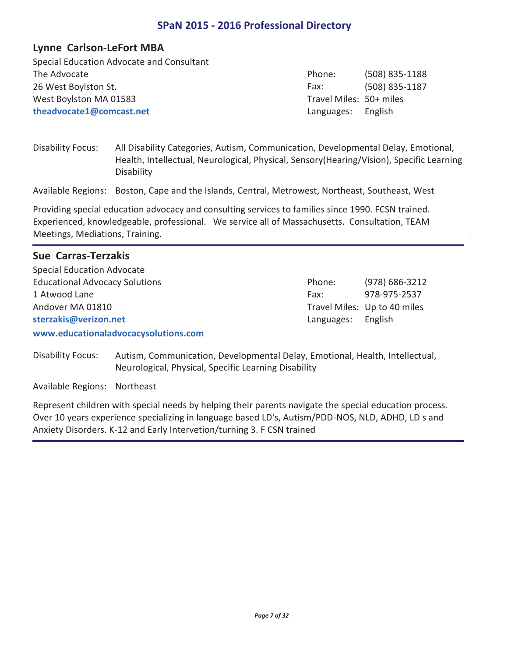#### **Lynne Carlson-LeFort MBA**

The Advocate (508) 835-1188 26 West Boylston St. (508) 835-1187 **theadvocate1@comcast.net** Special Education Advocate and Consultant West Boylston MA 01583

Phone: Fax: Travel Miles: 50+ miles Languages: English

Disability Focus: All Disability Categories, Autism, Communication, Developmental Delay, Emotional, Health, Intellectual, Neurological, Physical, Sensory(Hearing/Vision), Specific Learning Disability

Available Regions: Boston, Cape and the Islands, Central, Metrowest, Northeast, Southeast, West

Providing special education advocacy and consulting services to families since 1990. FCSN trained. Experienced, knowledgeable, professional. We service all of Massachusetts. Consultation, TEAM Meetings, Mediations, Training.

## **Sue Carras-Terzakis**

Educational Advocacy Solutions (978) 686-3212 1 Atwood Lane 978-975-2537 **www.educationaladvocacysolutions.com sterzakis@verizon.net** Special Education Advocate Andover MA 01810

Phone: Fax: Travel Miles: Up to 40 miles Languages: English

Disability Focus: Autism, Communication, Developmental Delay, Emotional, Health, Intellectual, Neurological, Physical, Specific Learning Disability

Available Regions: Northeast

Represent children with special needs by helping their parents navigate the special education process. Over 10 years experience specializing in language based LD's, Autism/PDD-NOS, NLD, ADHD, LD s and Anxiety Disorders. K-12 and Early Intervetion/turning 3. F CSN trained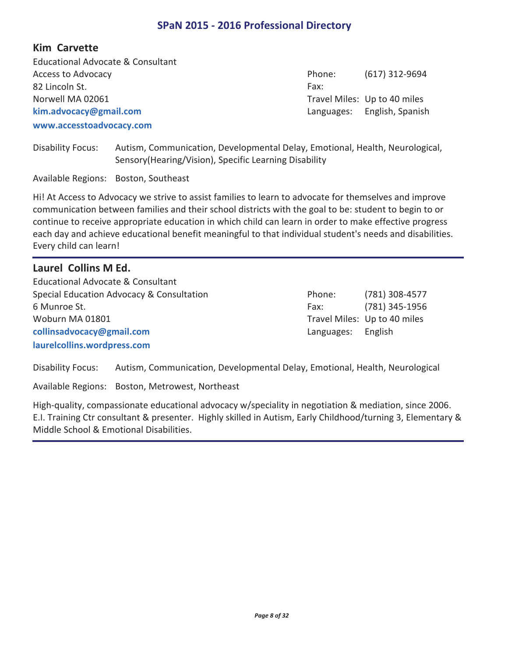#### **Kim Carvette**

Access to Advocacy (617) 312-9694 82 Lincoln St. **www.accesstoadvocacy.com kim.advocacy@gmail.com** Educational Advocate & Consultant Norwell MA 02061

Phone: Fax: Travel Miles: Up to 40 miles Languages: English, Spanish

Disability Focus: Autism, Communication, Developmental Delay, Emotional, Health, Neurological, Sensory(Hearing/Vision), Specific Learning Disability

Available Regions: Boston, Southeast

Hi! At Access to Advocacy we strive to assist families to learn to advocate for themselves and improve communication between families and their school districts with the goal to be: student to begin to or continue to receive appropriate education in which child can learn in order to make effective progress each day and achieve educational benefit meaningful to that individual student's needs and disabilities. Every child can learn!

## **Laurel Collins M Ed.**

Special Education Advocacy & Consultation (781) 308-4577 6 Munroe St. (781) 345-1956 **laurelcollins.wordpress.com collinsadvocacy@gmail.com** Educational Advocate & Consultant Woburn MA 01801

Phone: Fax: Travel Miles: Up to 40 miles Languages: English

Disability Focus: Autism, Communication, Developmental Delay, Emotional, Health, Neurological

Available Regions: Boston, Metrowest, Northeast

High-quality, compassionate educational advocacy w/speciality in negotiation & mediation, since 2006. E.I. Training Ctr consultant & presenter. Highly skilled in Autism, Early Childhood/turning 3, Elementary & Middle School & Emotional Disabilities.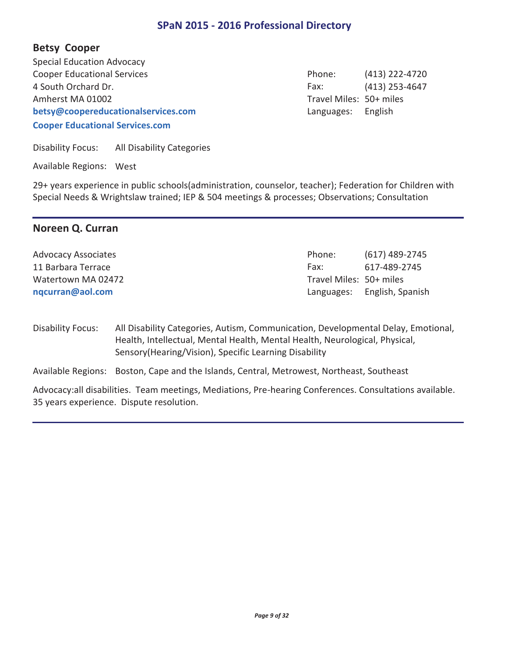## **Betsy Cooper**

Cooper Educational Services (413) 222-4720 4 South Orchard Dr. (413) 253-4647 **Cooper Educational Services.com betsy@coopereducationalservices.com** Special Education Advocacy Amherst MA 01002

Phone: Fax: Travel Miles: 50+ miles Languages: English

Disability Focus: All Disability Categories

Available Regions: West

29+ years experience in public schools(administration, counselor, teacher); Federation for Children with Special Needs & Wrightslaw trained; IEP & 504 meetings & processes; Observations; Consultation

## **Noreen Q. Curran**

| <b>Advocacy Associates</b> | Phone:                  | (617) 489-2745              |
|----------------------------|-------------------------|-----------------------------|
| 11 Barbara Terrace         | Fax:                    | 617-489-2745                |
| Watertown MA 02472         | Travel Miles: 50+ miles |                             |
| nqcurran@aol.com           |                         | Languages: English, Spanish |

Disability Focus: All Disability Categories, Autism, Communication, Developmental Delay, Emotional, Health, Intellectual, Mental Health, Mental Health, Neurological, Physical, Sensory(Hearing/Vision), Specific Learning Disability

Available Regions: Boston, Cape and the Islands, Central, Metrowest, Northeast, Southeast

Advocacy:all disabilities. Team meetings, Mediations, Pre-hearing Conferences. Consultations available. 35 years experience. Dispute resolution.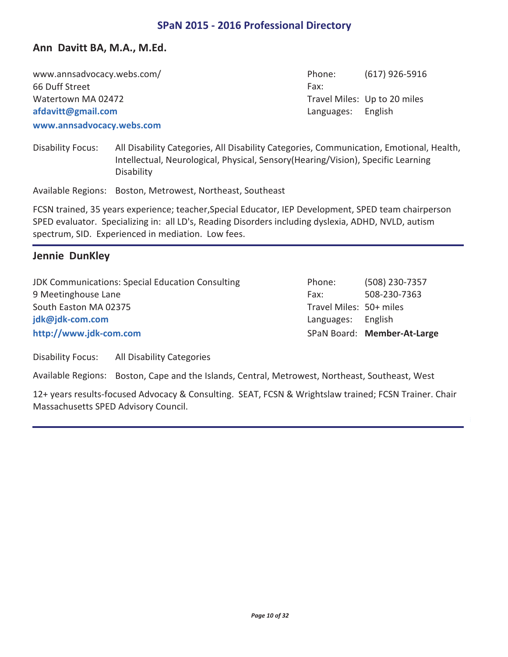## **Ann Davitt BA, M.A., M.Ed.**

www.annsadvocacy.webs.com/ example and the computation of the phone: (617) 926-5916 66 Duff Street **www.annsadvocacy.webs.com afdavitt@gmail.com** Watertown MA 02472

Phone: Fax: Travel Miles: Up to 20 miles Languages: English

Disability Focus: All Disability Categories, All Disability Categories, Communication, Emotional, Health, Intellectual, Neurological, Physical, Sensory(Hearing/Vision), Specific Learning Disability

Available Regions: Boston, Metrowest, Northeast, Southeast

FCSN trained, 35 years experience; teacher,Special Educator, IEP Development, SPED team chairperson SPED evaluator. Specializing in: all LD's, Reading Disorders including dyslexia, ADHD, NVLD, autism spectrum, SID. Experienced in mediation. Low fees.

#### **Jennie DunKley**

JDK Communications: Special Education Consulting Thome: (508) 230-7357 9 Meetinghouse Lane 508-230-7363 **http://www.jdk-com.com jdk@jdk-com.com** South Easton MA 02375

Phone: Fax: Travel Miles: 50+ miles SPaN Board: **Member-At-Large** Languages: English

Disability Focus: All Disability Categories

Available Regions: Boston, Cape and the Islands, Central, Metrowest, Northeast, Southeast, West

12+ years results-focused Advocacy & Consulting. SEAT, FCSN & Wrightslaw trained; FCSN Trainer. Chair Massachusetts SPED Advisory Council.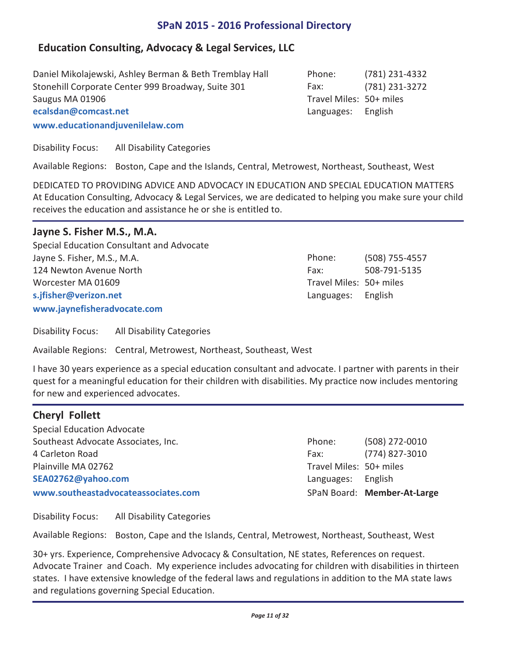# **Education Consulting, Advocacy & Legal Services, LLC**

Daniel Mikolajewski, Ashley Berman & Beth Tremblay Hall (781) 231-4332 Stonehill Corporate Center 999 Broadway, Suite 301 Fax: (781) 231-3272 **www.educationandjuvenilelaw.com ecalsdan@comcast.net** Saugus MA 01906

Disability Focus: All Disability Categories

Available Regions: Boston, Cape and the Islands, Central, Metrowest, Northeast, Southeast, West

DEDICATED TO PROVIDING ADVICE AND ADVOCACY IN EDUCATION AND SPECIAL EDUCATION MATTERS At Education Consulting, Advocacy & Legal Services, we are dedicated to helping you make sure your child receives the education and assistance he or she is entitled to.

# **Jayne S. Fisher M.S., M.A.**

Jayne S. Fisher, M.S., M.A. (508) 755-4557 124 Newton Avenue North 124 Newton Avenue North 124 Newton Avenue North 124 Newton 2008-791-5135 **www.jaynefisheradvocate.com s.jfisher@verizon.net** Special Education Consultant and Advocate Worcester MA 01609

Phone: Fax: Travel Miles: 50+ miles Languages: English

Disability Focus: All Disability Categories

Available Regions: Central, Metrowest, Northeast, Southeast, West

I have 30 years experience as a special education consultant and advocate. I partner with parents in their quest for a meaningful education for their children with disabilities. My practice now includes mentoring for new and experienced advocates.

# **Cheryl Follett**

Southeast Advocate Associates, Inc. (508) 272-0010 4 Carleton Road (774) 827-3010 **www.southeastadvocateassociates.com SEA02762@yahoo.com** Special Education Advocate Plainville MA 02762

Phone: Fax: Travel Miles: 50+ miles SPaN Board: **Member-At-Large** Languages: English

Disability Focus: All Disability Categories

Available Regions: Boston, Cape and the Islands, Central, Metrowest, Northeast, Southeast, West

30+ yrs. Experience, Comprehensive Advocacy & Consultation, NE states, References on request. Advocate Trainer and Coach. My experience includes advocating for children with disabilities in thirteen states. I have extensive knowledge of the federal laws and regulations in addition to the MA state laws and regulations governing Special Education.

Phone: Fax: Travel Miles: 50+ miles Languages: English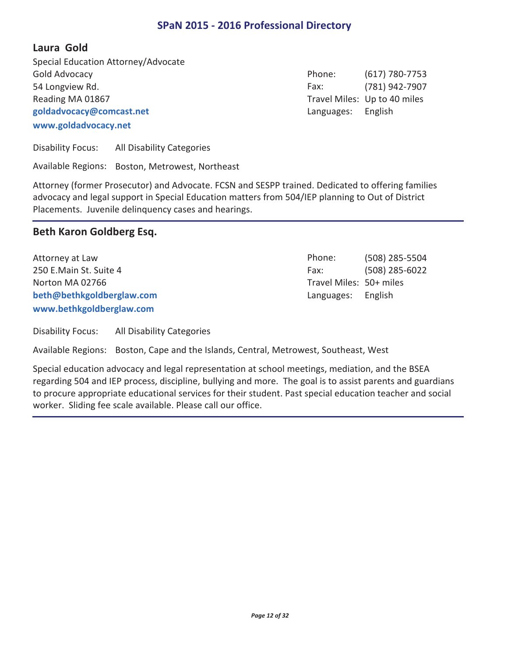**Laura Gold** 

Gold Advocacy (617) 780-7753 54 Longview Rd. (781) 942-7907 **www.goldadvocacy.net goldadvocacy@comcast.net** Special Education Attorney/Advocate Reading MA 01867

Phone: Fax: Travel Miles: Up to 40 miles Languages: English

Disability Focus: All Disability Categories

Available Regions: Boston, Metrowest, Northeast

Attorney (former Prosecutor) and Advocate. FCSN and SESPP trained. Dedicated to offering families advocacy and legal support in Special Education matters from 504/IEP planning to Out of District Placements. Juvenile delinquency cases and hearings.

## **Beth Karon Goldberg Esq.**

Attorney at Law and Controller Controller Controller Controller Controller Controller Controller Controller Co 250 E.Main St. Suite 4 (508) 285-6022 **www.bethkgoldberglaw.com beth@bethkgoldberglaw.com** Norton MA 02766

Phone: Fax: Travel Miles: 50+ miles Languages: English

Disability Focus: All Disability Categories

Available Regions: Boston, Cape and the Islands, Central, Metrowest, Southeast, West

Special education advocacy and legal representation at school meetings, mediation, and the BSEA regarding 504 and IEP process, discipline, bullying and more. The goal is to assist parents and guardians to procure appropriate educational services for their student. Past special education teacher and social worker. Sliding fee scale available. Please call our office.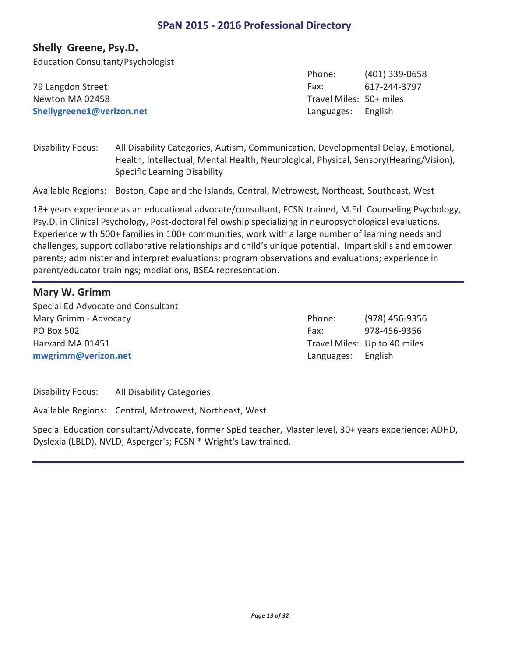#### **Shelly Greene, Psy.D.**

Education Consultant/Psychologist

|                           | Priorie:                | (401) 339-0058 |
|---------------------------|-------------------------|----------------|
| 79 Langdon Street         | Fax:                    | 617-244-3797   |
| Newton MA 02458           | Travel Miles: 50+ miles |                |
| Shellygreene1@verizon.net | Languages: English      |                |

Disability Focus: All Disability Categories, Autism, Communication, Developmental Delay, Emotional, Health, Intellectual, Mental Health, Neurological, Physical, Sensory(Hearing/Vision), Specific Learning Disability

Available Regions: Boston, Cape and the Islands, Central, Metrowest, Northeast, Southeast, West

18+ years experience as an educational advocate/consultant, FCSN trained, M.Ed. Counseling Psychology, Psy.D. in Clinical Psychology, Post-doctoral fellowship specializing in neuropsychological evaluations. Experience with 500+ families in 100+ communities, work with a large number of learning needs and challenges, support collaborative relationships and child's unique potential. Impart skills and empower parents; administer and interpret evaluations; program observations and evaluations; experience in parent/educator trainings; mediations, BSEA representation.

#### **Mary W. Grimm**

Mary Grimm - Advocacy **Example 20** and the control of the control of the Phone: (978) 456-9356 PO Box 502 978-456-9356 **mwgrimm@verizon.net** Special Ed Advocate and Consultant Harvard MA 01451

Phone: Fax: Travel Miles: Up to 40 miles Languages: English

 $(401)$  330-0658

Phone:

Disability Focus: All Disability Categories

Available Regions: Central, Metrowest, Northeast, West

Special Education consultant/Advocate, former SpEd teacher, Master level, 30+ years experience; ADHD, Dyslexia (LBLD), NVLD, Asperger's; FCSN \* Wright's Law trained.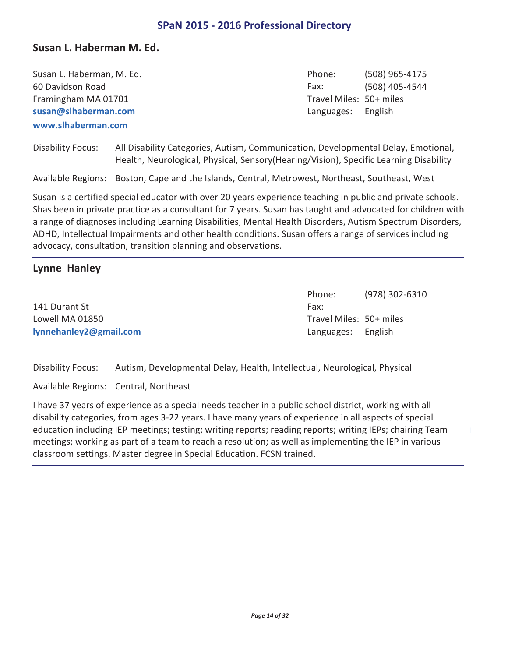#### **Susan L. Haberman M. Ed.**

| Susan L. Haberman, M. Ed. |
|---------------------------|
| 60 Davidson Road          |
| Framingham MA 01701       |
| susan@slhaberman.com      |
| www.slhaberman.com        |

(508) 965-4175 (508) 405-4544 Phone: Fax: Travel Miles: 50+ miles Languages: English

Disability Focus: All Disability Categories, Autism, Communication, Developmental Delay, Emotional, Health, Neurological, Physical, Sensory(Hearing/Vision), Specific Learning Disability

Available Regions: Boston, Cape and the Islands, Central, Metrowest, Northeast, Southeast, West

Susan is a certified special educator with over 20 years experience teaching in public and private schools. Shas been in private practice as a consultant for 7 years. Susan has taught and advocated for children with a range of diagnoses including Learning Disabilities, Mental Health Disorders, Autism Spectrum Disorders, ADHD, Intellectual Impairments and other health conditions. Susan offers a range of services including advocacy, consultation, transition planning and observations.

## **Lynne Hanley**

141 Durant St **lynnehanley2@gmail.com** Lowell MA 01850

(978) 302-6310 Phone: Fax: Travel Miles: 50+ miles Languages: English

Disability Focus: Autism, Developmental Delay, Health, Intellectual, Neurological, Physical

Available Regions: Central, Northeast

I have 37 years of experience as a special needs teacher in a public school district, working with all disability categories, from ages 3-22 years. I have many years of experience in all aspects of special education including IEP meetings; testing; writing reports; reading reports; writing IEPs; chairing Team meetings; working as part of a team to reach a resolution; as well as implementing the IEP in various classroom settings. Master degree in Special Education. FCSN trained.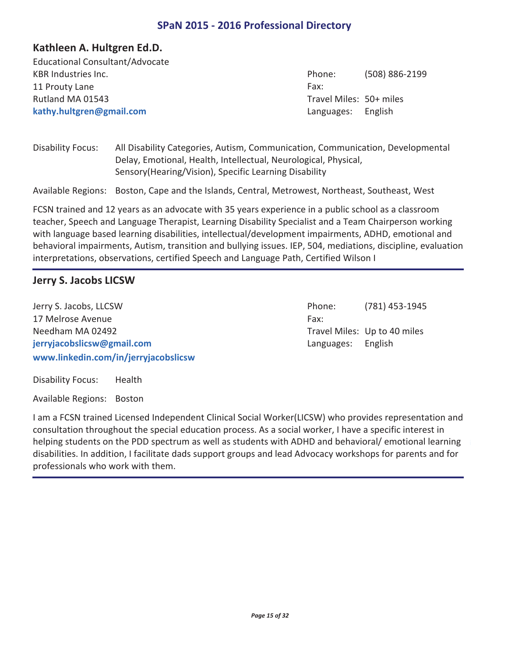## **Kathleen A. Hultgren Ed.D.**

KBR Industries Inc. (508) 886-2199 11 Prouty Lane **kathy.hultgren@gmail.com** Educational Consultant/Advocate Rutland MA 01543

Phone: Fax: Travel Miles: 50+ miles Languages: English

Disability Focus: All Disability Categories, Autism, Communication, Communication, Developmental Delay, Emotional, Health, Intellectual, Neurological, Physical, Sensory(Hearing/Vision), Specific Learning Disability

Available Regions: Boston, Cape and the Islands, Central, Metrowest, Northeast, Southeast, West

FCSN trained and 12 years as an advocate with 35 years experience in a public school as a classroom teacher, Speech and Language Therapist, Learning Disability Specialist and a Team Chairperson working with language based learning disabilities, intellectual/development impairments, ADHD, emotional and behavioral impairments, Autism, transition and bullying issues. IEP, 504, mediations, discipline, evaluation interpretations, observations, certified Speech and Language Path, Certified Wilson I

## **Jerry S. Jacobs LICSW**

Jerry S. Jacobs, LLCSW (781) 453-1945 17 Melrose Avenue **www.linkedin.com/in/jerryjacobslicsw jerryjacobslicsw@gmail.com** Needham MA 02492

Phone: Fax: Travel Miles: Up to 40 miles Languages: English

Disability Focus: Health

Available Regions: Boston

I am a FCSN trained Licensed Independent Clinical Social Worker(LICSW) who provides representation and consultation throughout the special education process. As a social worker, I have a specific interest in helping students on the PDD spectrum as well as students with ADHD and behavioral/ emotional learning disabilities. In addition, I facilitate dads support groups and lead Advocacy workshops for parents and for professionals who work with them.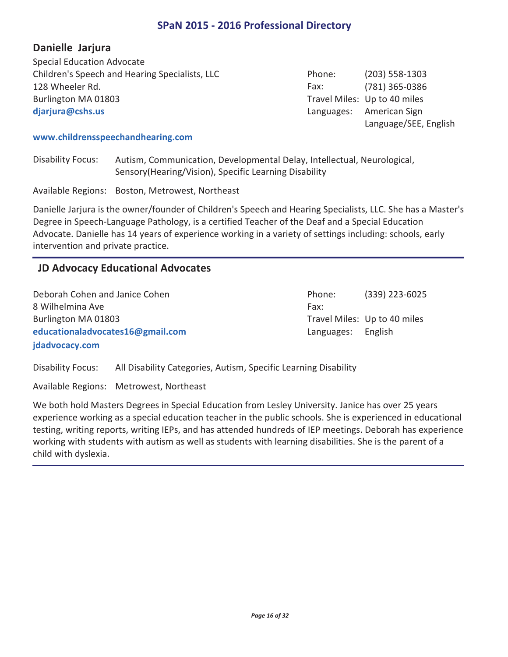## **Danielle Jarjura**

Children's Speech and Hearing Specialists, LLC (203) 558-1303 128 Wheeler Rd. (781) 365-0386 **djarjura@cshs.us** Special Education Advocate Burlington MA 01803

Phone: Fax: Travel Miles: Up to 40 miles Languages: American Sign Language/SEE, English

#### **www.childrensspeechandhearing.com**

Disability Focus: Autism, Communication, Developmental Delay, Intellectual, Neurological, Sensory(Hearing/Vision), Specific Learning Disability

Available Regions: Boston, Metrowest, Northeast

Danielle Jarjura is the owner/founder of Children's Speech and Hearing Specialists, LLC. She has a Master's Degree in Speech-Language Pathology, is a certified Teacher of the Deaf and a Special Education Advocate. Danielle has 14 years of experience working in a variety of settings including: schools, early intervention and private practice.

## **JD Advocacy Educational Advocates**

Deborah Cohen and Janice Cohen (339) 223-6025 8 Wilhelmina Ave **jdadvocacy.com educationaladvocates16@gmail.com** Burlington MA 01803

Phone: Fax: Travel Miles: Up to 40 miles Languages: English

Disability Focus: All Disability Categories, Autism, Specific Learning Disability

Available Regions: Metrowest, Northeast

We both hold Masters Degrees in Special Education from Lesley University. Janice has over 25 years experience working as a special education teacher in the public schools. She is experienced in educational testing, writing reports, writing IEPs, and has attended hundreds of IEP meetings. Deborah has experience working with students with autism as well as students with learning disabilities. She is the parent of a child with dyslexia.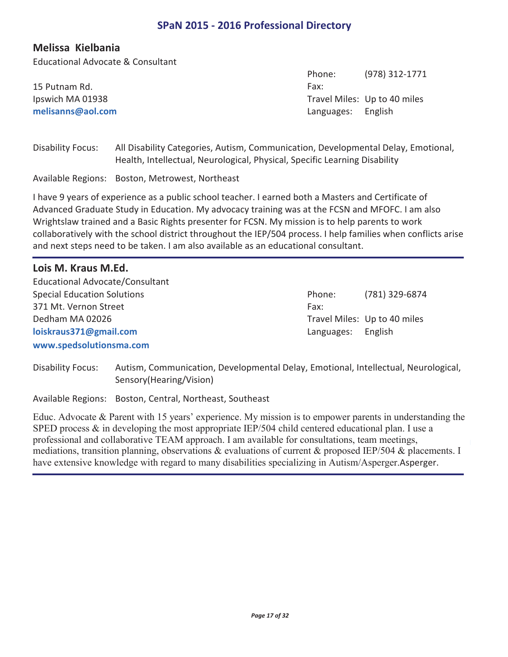$(070)$  313-1771

Phone:

## **Melissa Kielbania**

Educational Advocate & Consultant

|                   | PHULE.             | 1771 - <b>1716</b>           |
|-------------------|--------------------|------------------------------|
| 15 Putnam Rd.     | Fax:               |                              |
| Ipswich MA 01938  |                    | Travel Miles: Up to 40 miles |
| melisanns@aol.com | Languages: English |                              |
|                   |                    |                              |

Disability Focus: All Disability Categories, Autism, Communication, Developmental Delay, Emotional, Health, Intellectual, Neurological, Physical, Specific Learning Disability

Available Regions: Boston, Metrowest, Northeast

I have 9 years of experience as a public school teacher. I earned both a Masters and Certificate of Advanced Graduate Study in Education. My advocacy training was at the FCSN and MFOFC. I am also Wrightslaw trained and a Basic Rights presenter for FCSN. My mission is to help parents to work collaboratively with the school district throughout the IEP/504 process. I help families when conflicts arise and next steps need to be taken. I am also available as an educational consultant.

| Lois M. Kraus M.Ed.                |            |                              |
|------------------------------------|------------|------------------------------|
| Educational Advocate/Consultant    |            |                              |
| <b>Special Education Solutions</b> | Phone:     | (781) 329-6874               |
| 371 Mt. Vernon Street              | Fax:       |                              |
| Dedham MA 02026                    |            | Travel Miles: Up to 40 miles |
| loiskraus371@gmail.com             | Languages: | English                      |
| www.spedsolutionsma.com            |            |                              |

Disability Focus: Autism, Communication, Developmental Delay, Emotional, Intellectual, Neurological, Sensory(Hearing/Vision)

Available Regions: Boston, Central, Northeast, Southeast

Educ. Advocate & Parent with 15 years' experience. My mission is to empower parents in understanding the SPED process & in developing the most appropriate IEP/504 child centered educational plan. I use a professional and collaborative TEAM approach. I am available for consultations, team meetings, mediations, transition planning, observations & evaluations of current & proposed IEP/504 & placements. I have extensive knowledge with regard to many disabilities specializing in Autism/Asperger.Asperger.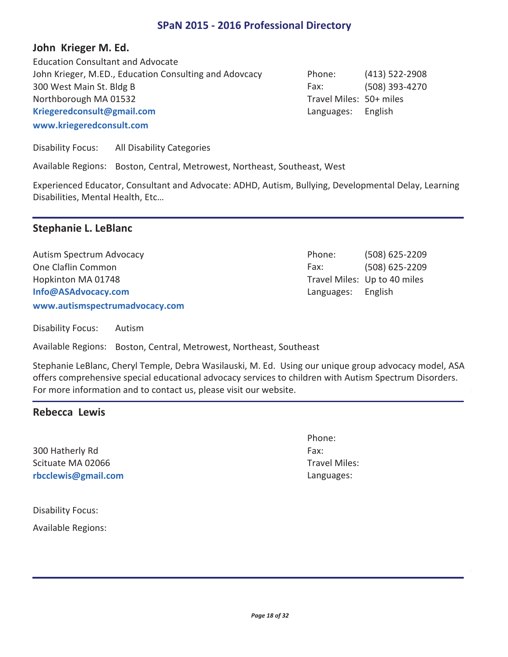## **John Krieger M. Ed.**

John Krieger, M.ED., Education Consulting and Adovcacy (413) 522-2908 300 West Main St. Bldg B (508) 393-4270 **www.kriegeredconsult.com Kriegeredconsult@gmail.com** Education Consultant and Advocate Northborough MA 01532

Phone: Fax: Travel Miles: 50+ miles Languages: English

Travel Miles: Up to 40 miles

Languages: English

Disability Focus: All Disability Categories

Available Regions: Boston, Central, Metrowest, Northeast, Southeast, West

Experienced Educator, Consultant and Advocate: ADHD, Autism, Bullying, Developmental Delay, Learning Disabilities, Mental Health, Etc…

## **Stephanie L. LeBlanc**

Autism Spectrum Advocacy (508) 625-2209 One Claflin Common (508) 625-2209 **www.autismspectrumadvocacy.com Info@ASAdvocacy.com** Hopkinton MA 01748

Disability Focus: Autism

Available Regions: Boston, Central, Metrowest, Northeast, Southeast

Stephanie LeBlanc, Cheryl Temple, Debra Wasilauski, M. Ed. Using our unique group advocacy model, ASA offers comprehensive special educational advocacy services to children with Autism Spectrum Disorders. For more information and to contact us, please visit our website.

#### **Rebecca Lewis**

300 Hatherly Rd **rbcclewis@gmail.com** Scituate MA 02066

Phone: Fax: Travel Miles: Languages:

Phone: Fax:

Disability Focus:

Available Regions: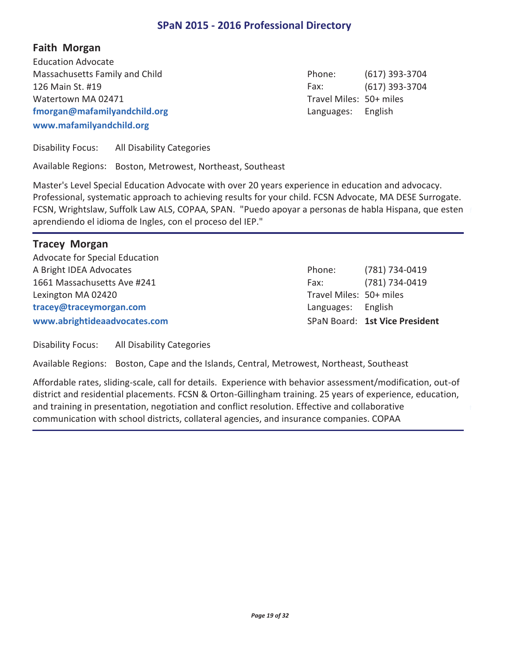**Faith Morgan** 

Massachusetts Family and Child (617) 393-3704 126 Main St. #19 (617) 393-3704 **www.mafamilyandchild.org fmorgan@mafamilyandchild.org** Education Advocate Watertown MA 02471

Phone: Fax: Travel Miles: 50+ miles Languages: English

Disability Focus: All Disability Categories

Available Regions: Boston, Metrowest, Northeast, Southeast

Master's Level Special Education Advocate with over 20 years experience in education and advocacy. Professional, systematic approach to achieving results for your child. FCSN Advocate, MA DESE Surrogate. FCSN, Wrightslaw, Suffolk Law ALS, COPAA, SPAN. "Puedo apoyar a personas de habla Hispana, que esten aprendiendo el idioma de Ingles, con el proceso del IEP."

#### **Tracey Morgan**

A Bright IDEA Advocates (781) 734-0419 1661 Massachusetts Ave #241 (781) 734-0419 **www.abrightideaadvocates.com tracey@traceymorgan.com** Advocate for Special Education Lexington MA 02420

Phone: Fax: Travel Miles: 50+ miles SPaN Board: **1st Vice President** Languages: English

Disability Focus: All Disability Categories

Available Regions: Boston, Cape and the Islands, Central, Metrowest, Northeast, Southeast

Affordable rates, sliding-scale, call for details. Experience with behavior assessment/modification, out-of district and residential placements. FCSN & Orton-Gillingham training. 25 years of experience, education, and training in presentation, negotiation and conflict resolution. Effective and collaborative communication with school districts, collateral agencies, and insurance companies. COPAA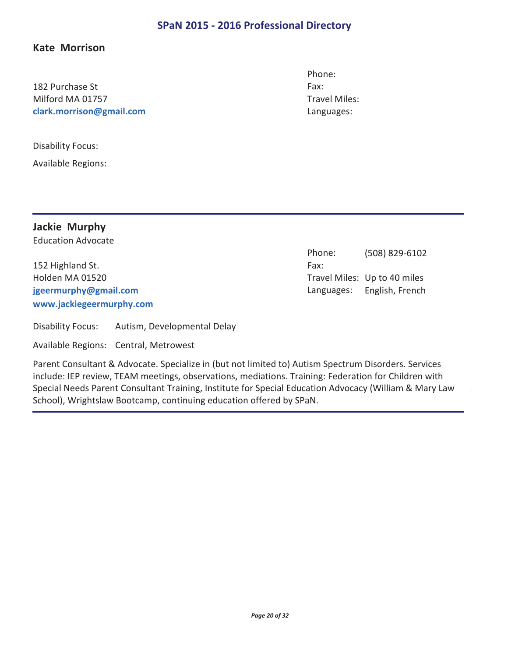## **Kate Morrison**

182 Purchase St **clark.morrison@gmail.com** Milford MA 01757

Disability Focus:

Available Regions:

Phone: Fax: Travel Miles: Languages:

Phone:

**Jackie Murphy**  Education Advocate

152 Highland St. **www.jackiegeermurphy.com jgeermurphy@gmail.com** Holden MA 01520

Fax: Travel Miles: Up to 40 miles Languages: English, French

(508) 829-6102

Disability Focus: Autism, Developmental Delay

Available Regions: Central, Metrowest

Parent Consultant & Advocate. Specialize in (but not limited to) Autism Spectrum Disorders. Services include: IEP review, TEAM meetings, observations, mediations. Training: Federation for Children with Special Needs Parent Consultant Training, Institute for Special Education Advocacy (William & Mary Law School), Wrightslaw Bootcamp, continuing education offered by SPaN.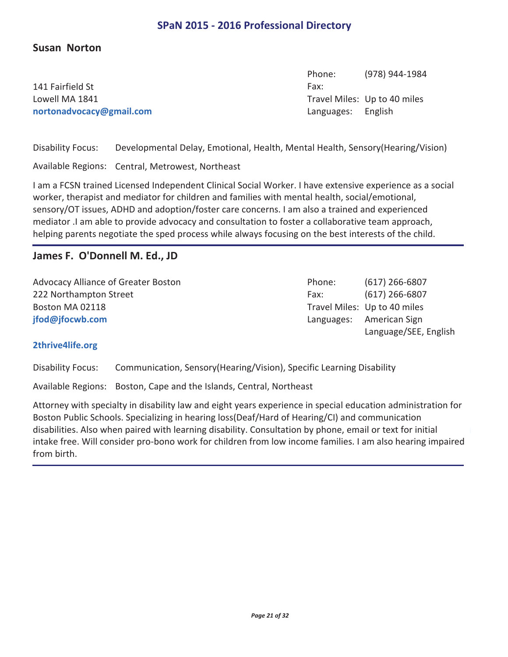## **Susan Norton**

141 Fairfield St **nortonadvocacy@gmail.com** Lowell MA 1841

(978) 944-1984 Phone: Fax: Travel Miles: Up to 40 miles Languages: English

Disability Focus: Developmental Delay, Emotional, Health, Mental Health, Sensory(Hearing/Vision)

Available Regions: Central, Metrowest, Northeast

I am a FCSN trained Licensed Independent Clinical Social Worker. I have extensive experience as a social worker, therapist and mediator for children and families with mental health, social/emotional, sensory/OT issues, ADHD and adoption/foster care concerns. I am also a trained and experienced mediator .I am able to provide advocacy and consultation to foster a collaborative team approach, helping parents negotiate the sped process while always focusing on the best interests of the child.

#### **James F. O'Donnell M. Ed., JD**

Advocacy Alliance of Greater Boston **Communist Control** Phone: (617) 266-6807 222 Northampton Street (617) 266-6807 **jfod@jfocwb.com** Boston MA 02118

Phone: Fax: Travel Miles: Up to 40 miles Languages: American Sign Language/SEE, English

#### **2thrive4life.org**

Disability Focus: Communication, Sensory(Hearing/Vision), Specific Learning Disability

Available Regions: Boston, Cape and the Islands, Central, Northeast

Attorney with specialty in disability law and eight years experience in special education administration for Boston Public Schools. Specializing in hearing loss(Deaf/Hard of Hearing/CI) and communication disabilities. Also when paired with learning disability. Consultation by phone, email or text for initial intake free. Will consider pro-bono work for children from low income families. I am also hearing impaired from birth.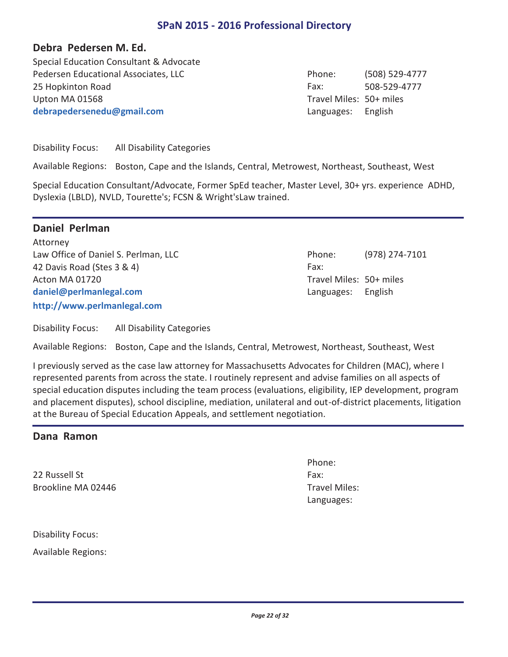## **Debra Pedersen M. Ed.**

Pedersen Educational Associates, LLC 
Flood Contact Phone: (508) 529-4777 25 Hopkinton Road **508-529-4777 debrapedersenedu@gmail.com** Special Education Consultant & Advocate Upton MA 01568

Phone: Fax: Travel Miles: 50+ miles Languages: English

Disability Focus: All Disability Categories

Available Regions: Boston, Cape and the Islands, Central, Metrowest, Northeast, Southeast, West

Special Education Consultant/Advocate, Former SpEd teacher, Master Level, 30+ yrs. experience ADHD, Dyslexia (LBLD), NVLD, Tourette's; FCSN & Wright'sLaw trained.

## **Daniel Perlman**

Law Office of Daniel S. Perlman, LLC 42 Davis Road (Stes 3 & 4) **http://www.perlmanlegal.com daniel@perlmanlegal.com** Attorney Acton MA 01720

| Phone:                  | (978) 274-7101 |
|-------------------------|----------------|
| Fax:                    |                |
| Travel Miles: 50+ miles |                |
| Languages: English      |                |

Disability Focus: All Disability Categories

Available Regions: Boston, Cape and the Islands, Central, Metrowest, Northeast, Southeast, West

I previously served as the case law attorney for Massachusetts Advocates for Children (MAC), where I represented parents from across the state. I routinely represent and advise families on all aspects of special education disputes including the team process (evaluations, eligibility, IEP development, program and placement disputes), school discipline, mediation, unilateral and out-of-district placements, litigation at the Bureau of Special Education Appeals, and settlement negotiation.

#### **Dana Ramon**

22 Russell St Brookline MA 02446 Phone: Fax: Travel Miles: Languages:

Disability Focus:

Available Regions: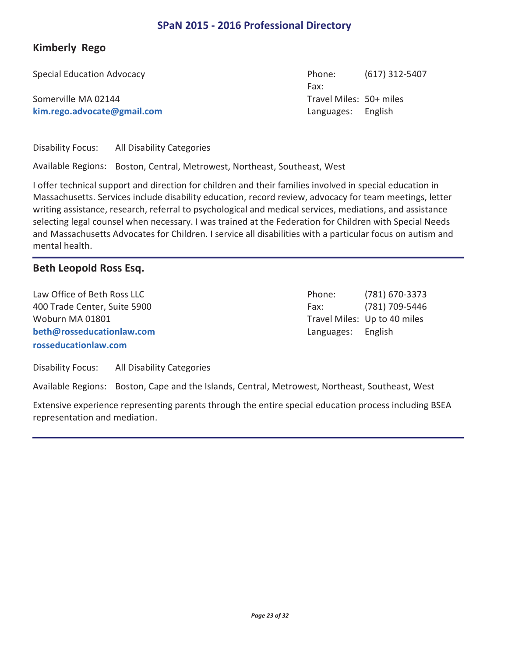# **Kimberly Rego**

Special Education Advocacy (617) 312-5407 Somerville MA 02144

**kim.rego.advocate@gmail.com**

Phone: Fax: Travel Miles: 50+ miles Languages: English

Disability Focus: All Disability Categories

Available Regions: Boston, Central, Metrowest, Northeast, Southeast, West

I offer technical support and direction for children and their families involved in special education in Massachusetts. Services include disability education, record review, advocacy for team meetings, letter writing assistance, research, referral to psychological and medical services, mediations, and assistance selecting legal counsel when necessary. I was trained at the Federation for Children with Special Needs and Massachusetts Advocates for Children. I service all disabilities with a particular focus on autism and mental health.

## **Beth Leopold Ross Esq.**

Law Office of Beth Ross LLC and The Case of Beth Ross LLC and The Case of Beth Ross LLC 400 Trade Center, Suite 5900 (781) 709-5446 **rosseducationlaw.com beth@rosseducationlaw.com** Woburn MA 01801

Phone: Fax: Travel Miles: Up to 40 miles Languages: English

Disability Focus: All Disability Categories

Available Regions: Boston, Cape and the Islands, Central, Metrowest, Northeast, Southeast, West

Extensive experience representing parents through the entire special education process including BSEA representation and mediation.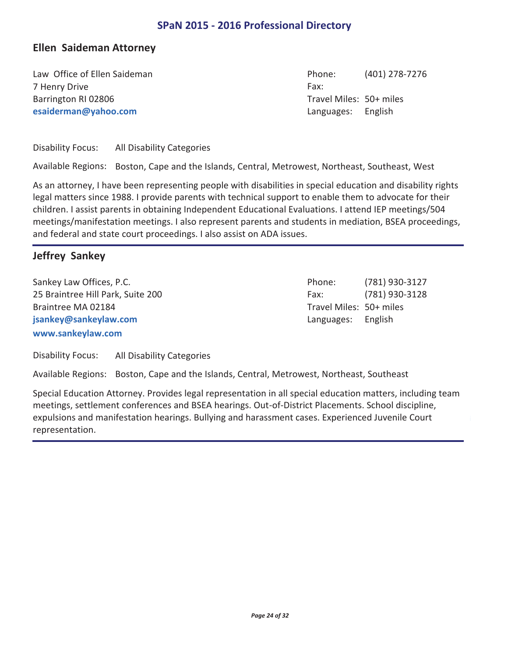## **Ellen Saideman Attorney**

Law Office of Ellen Saideman (401) 278-7276 7 Henry Drive **esaiderman@yahoo.com** Barrington RI 02806

Phone: Fax: Travel Miles: 50+ miles Languages: English

Disability Focus: All Disability Categories

Available Regions: Boston, Cape and the Islands, Central, Metrowest, Northeast, Southeast, West

As an attorney, I have been representing people with disabilities in special education and disability rights legal matters since 1988. I provide parents with technical support to enable them to advocate for their children. I assist parents in obtaining Independent Educational Evaluations. I attend IEP meetings/504 meetings/manifestation meetings. I also represent parents and students in mediation, BSEA proceedings, and federal and state court proceedings. I also assist on ADA issues.

## **Jeffrey Sankey**

Sankey Law Offices, P.C. **Example 20 and Series** Phone: (781) 930-3127 25 Braintree Hill Park, Suite 200 (781) 930-3128 **www.sankeylaw.com jsankey@sankeylaw.com** Braintree MA 02184

Phone: Fax: Travel Miles: 50+ miles Languages: English

Disability Focus: All Disability Categories

Available Regions: Boston, Cape and the Islands, Central, Metrowest, Northeast, Southeast

Special Education Attorney. Provides legal representation in all special education matters, including team meetings, settlement conferences and BSEA hearings. Out-of-District Placements. School discipline, expulsions and manifestation hearings. Bullying and harassment cases. Experienced Juvenile Court representation.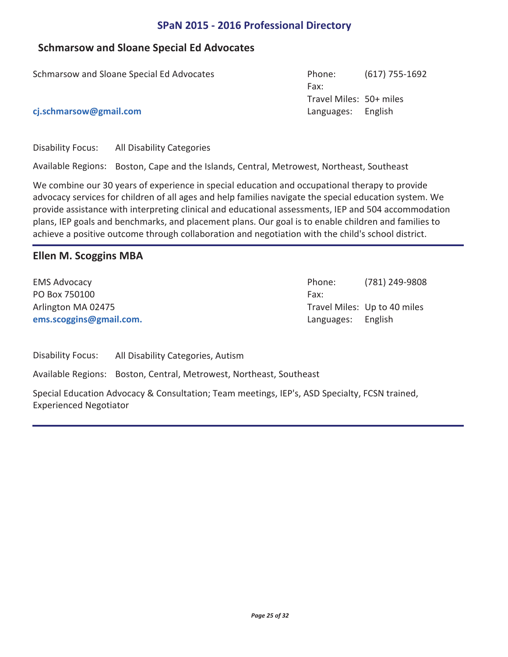## **Schmarsow and Sloane Special Ed Advocates**

| Schmarsow and Sloane Special Ed Advocates | Phone:                  | $(617)$ 755-1692 |
|-------------------------------------------|-------------------------|------------------|
|                                           | Fax:                    |                  |
|                                           | Travel Miles: 50+ miles |                  |
| cj.schmarsow@gmail.com                    | Languages: English      |                  |
|                                           |                         |                  |

Disability Focus: All Disability Categories

Available Regions: Boston, Cape and the Islands, Central, Metrowest, Northeast, Southeast

We combine our 30 years of experience in special education and occupational therapy to provide advocacy services for children of all ages and help families navigate the special education system. We provide assistance with interpreting clinical and educational assessments, IEP and 504 accommodation plans, IEP goals and benchmarks, and placement plans. Our goal is to enable children and families to achieve a positive outcome through collaboration and negotiation with the child's school district.

## **Ellen M. Scoggins MBA**

PO Box 750100 **ems.scoggins@gmail.com.** Arlington MA 02475

EMS Advocacy (781) 249-9808 Phone: Fax: Travel Miles: Up to 40 miles Languages: English

Disability Focus: All Disability Categories, Autism

Available Regions: Boston, Central, Metrowest, Northeast, Southeast

Special Education Advocacy & Consultation; Team meetings, IEP's, ASD Specialty, FCSN trained, Experienced Negotiator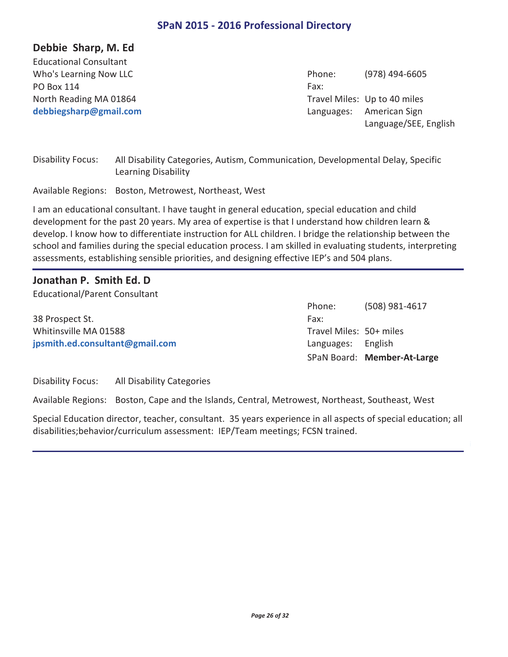## **Debbie Sharp, M. Ed**

PO Box 114 **debbiegsharp@gmail.com** Educational Consultant North Reading MA 01864

Who's Learning Now LLC **Contract Contract Contract Contract Contract Contract Contract Contract Contract Control Contract Contract Contract Contract Contract Contract Contract Contract Contract Contract Contract Contract C** Phone: Fax: Travel Miles: Up to 40 miles Languages: American Sign Language/SEE, English

Disability Focus: All Disability Categories, Autism, Communication, Developmental Delay, Specific Learning Disability

Available Regions: Boston, Metrowest, Northeast, West

I am an educational consultant. I have taught in general education, special education and child development for the past 20 years. My area of expertise is that I understand how children learn & develop. I know how to differentiate instruction for ALL children. I bridge the relationship between the school and families during the special education process. I am skilled in evaluating students, interpreting assessments, establishing sensible priorities, and designing effective IEP's and 504 plans.

#### **Jonathan P. Smith Ed. D**

Educational/Parent Consultant

38 Prospect St. **jpsmith.ed.consultant@gmail.com** Whitinsville MA 01588

(508) 981-4617 Phone: Fax: Travel Miles: 50+ miles SPaN Board: **Member-At-Large** Languages: English

Disability Focus: All Disability Categories

Available Regions: Boston, Cape and the Islands, Central, Metrowest, Northeast, Southeast, West

Special Education director, teacher, consultant. 35 years experience in all aspects of special education; all disabilities;behavior/curriculum assessment: IEP/Team meetings; FCSN trained.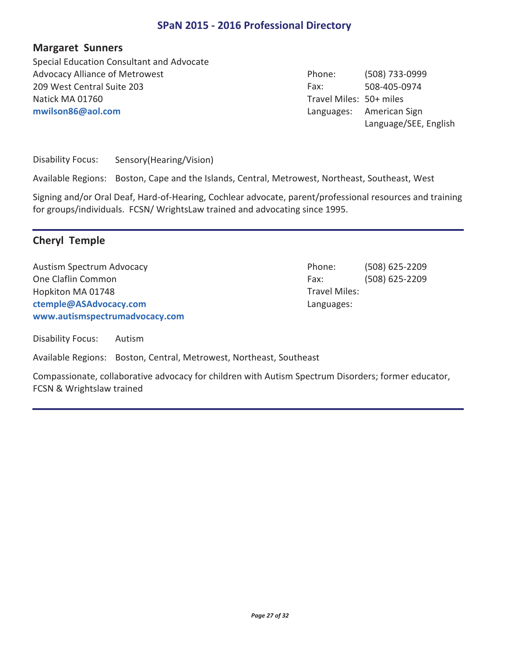#### **Margaret Sunners**

Advocacy Alliance of Metrowest (508) 733-0999 209 West Central Suite 203 508-405-0974 **mwilson86@aol.com** Special Education Consultant and Advocate Natick MA 01760

Phone: Fax: Travel Miles: 50+ miles Languages: American Sign Language/SEE, English

Disability Focus: Sensory(Hearing/Vision)

Available Regions: Boston, Cape and the Islands, Central, Metrowest, Northeast, Southeast, West

Signing and/or Oral Deaf, Hard-of-Hearing, Cochlear advocate, parent/professional resources and training for groups/individuals. FCSN/ WrightsLaw trained and advocating since 1995.

## **Cheryl Temple**

Austism Spectrum Advocacy (508) 625-2209 One Claflin Common (508) 625-2209 **www.autismspectrumadvocacy.com ctemple@ASAdvocacy.com** Hopkiton MA 01748

Disability Focus: Autism

Available Regions: Boston, Central, Metrowest, Northeast, Southeast

Compassionate, collaborative advocacy for children with Autism Spectrum Disorders; former educator, FCSN & Wrightslaw trained

Phone: Fax: Travel Miles: Languages: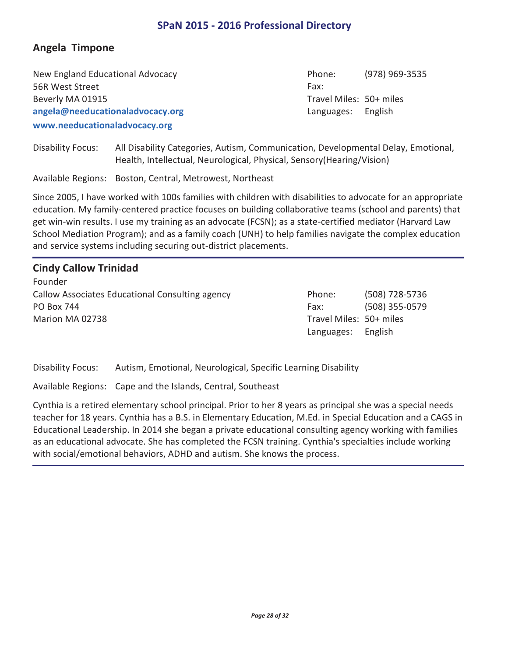# **Angela Timpone**

New England Educational Advocacy (978) 969-3535 56R West Street **www.needucationaladvocacy.org angela@needucationaladvocacy.org** Beverly MA 01915

Phone: Fax: Travel Miles: 50+ miles Languages: English

Disability Focus: All Disability Categories, Autism, Communication, Developmental Delay, Emotional, Health, Intellectual, Neurological, Physical, Sensory(Hearing/Vision)

Available Regions: Boston, Central, Metrowest, Northeast

Since 2005, I have worked with 100s families with children with disabilities to advocate for an appropriate education. My family-centered practice focuses on building collaborative teams (school and parents) that get win-win results. I use my training as an advocate (FCSN); as a state-certified mediator (Harvard Law School Mediation Program); and as a family coach (UNH) to help families navigate the complex education and service systems including securing out-district placements.

## **Cindy Callow Trinidad**

Callow Associates Educational Consulting agency Theorecase Phone: (508) 728-5736 PO Box 744 (508) 355-0579 Founder Marion MA 02738

Phone: Fax: Travel Miles: 50+ miles Languages: English

Disability Focus: Autism, Emotional, Neurological, Specific Learning Disability

Available Regions: Cape and the Islands, Central, Southeast

Cynthia is a retired elementary school principal. Prior to her 8 years as principal she was a special needs teacher for 18 years. Cynthia has a B.S. in Elementary Education, M.Ed. in Special Education and a CAGS in Educational Leadership. In 2014 she began a private educational consulting agency working with families as an educational advocate. She has completed the FCSN training. Cynthia's specialties include working with social/emotional behaviors, ADHD and autism. She knows the process.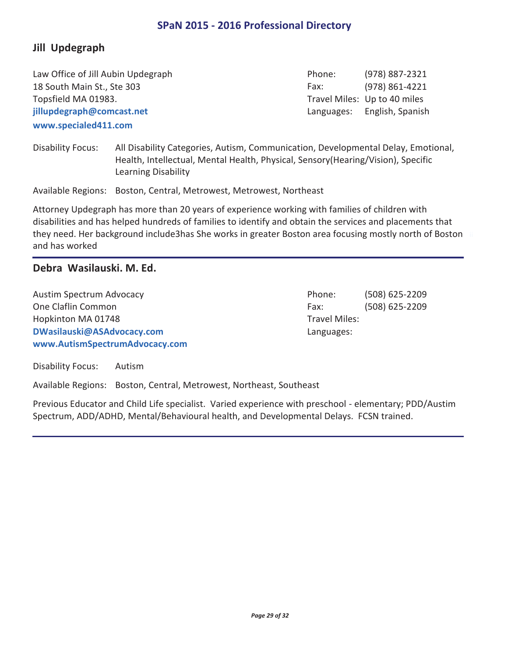## **Jill Updegraph**

Law Office of Jill Aubin Updegraph (978) 887-2321 18 South Main St., Ste 303 (978) 861-4221 **www.specialed411.com jillupdegraph@comcast.net** Topsfield MA 01983.

Phone: Fax: Travel Miles: Up to 40 miles Languages: English, Spanish

Disability Focus: All Disability Categories, Autism, Communication, Developmental Delay, Emotional, Health, Intellectual, Mental Health, Physical, Sensory(Hearing/Vision), Specific Learning Disability

Available Regions: Boston, Central, Metrowest, Metrowest, Northeast

Attorney Updegraph has more than 20 years of experience working with families of children with disabilities and has helped hundreds of families to identify and obtain the services and placements that they need. Her background include3has She works in greater Boston area focusing mostly north of Boston and has worked

## **Debra Wasilauski. M. Ed.**

Austim Spectrum Advocacy (508) 625-2209 One Claflin Common (508) 625-2209 **www.AutismSpectrumAdvocacy.com DWasilauski@ASAdvocacy.com** Hopkinton MA 01748

Phone: Fax: Travel Miles: Languages:

Disability Focus: Autism

Available Regions: Boston, Central, Metrowest, Northeast, Southeast

Previous Educator and Child Life specialist. Varied experience with preschool - elementary; PDD/Austim Spectrum, ADD/ADHD, Mental/Behavioural health, and Developmental Delays. FCSN trained.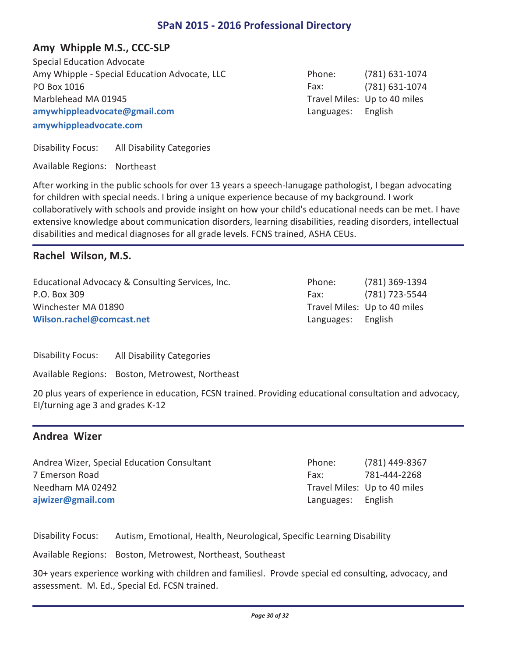## **Amy Whipple M.S., CCC-SLP**

Amy Whipple - Special Education Advocate, LLC (781) 631-1074 PO Box 1016 (781) 631-1074 **amywhippleadvocate.com amywhippleadvocate@gmail.com** Special Education Advocate Marblehead MA 01945

Phone: Fax: Travel Miles: Up to 40 miles Languages: English

Disability Focus: All Disability Categories

Available Regions: Northeast

After working in the public schools for over 13 years a speech-lanugage pathologist, I began advocating for children with special needs. I bring a unique experience because of my background. I work collaboratively with schools and provide insight on how your child's educational needs can be met. I have extensive knowledge about communication disorders, learning disabilities, reading disorders, intellectual disabilities and medical diagnoses for all grade levels. FCNS trained, ASHA CEUs.

## **Rachel Wilson, M.S.**

Educational Advocacy & Consulting Services, Inc. P.O. Box 309 **Wilson.rachel@comcast.net** Winchester MA 01890

| Phone:     | (781) 369-1394               |
|------------|------------------------------|
| Fax:       | (781) 723-5544               |
|            | Travel Miles: Up to 40 miles |
| Languages: | English                      |

Disability Focus: All Disability Categories

Available Regions: Boston, Metrowest, Northeast

20 plus years of experience in education, FCSN trained. Providing educational consultation and advocacy, EI/turning age 3 and grades K-12

#### **Andrea Wizer**

Andrea Wizer, Special Education Consultant The Consultant (781) 449-8367 7 Emerson Road 781-444-2268 **ajwizer@gmail.com** Needham MA 02492

Phone: Fax: Travel Miles: Up to 40 miles Languages: English

Disability Focus: Autism, Emotional, Health, Neurological, Specific Learning Disability

Available Regions: Boston, Metrowest, Northeast, Southeast

30+ years experience working with children and familiesl. Provde special ed consulting, advocacy, and assessment. M. Ed., Special Ed. FCSN trained.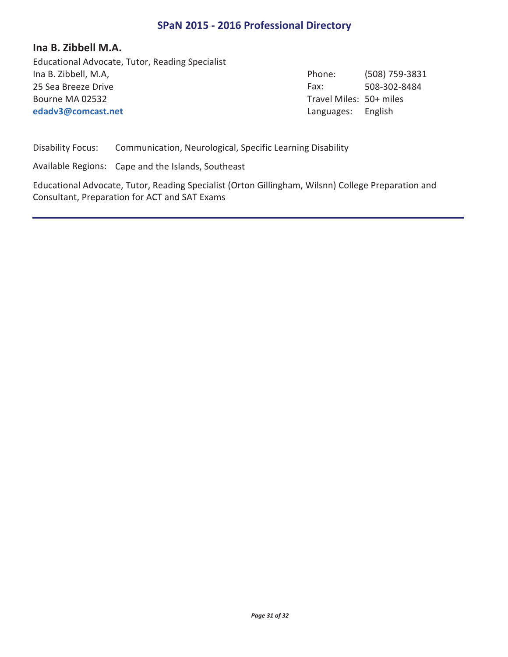#### **Ina B. Zibbell M.A.**

Ina B. Zibbell, M.A, (508) 759-3831 25 Sea Breeze Drive **508-302-8484 edadv3@comcast.net** Educational Advocate, Tutor, Reading Specialist Bourne MA 02532

Phone: Fax: Travel Miles: 50+ miles Languages: English

Disability Focus: Communication, Neurological, Specific Learning Disability

Available Regions: Cape and the Islands, Southeast

Educational Advocate, Tutor, Reading Specialist (Orton Gillingham, Wilsnn) College Preparation and Consultant, Preparation for ACT and SAT Exams